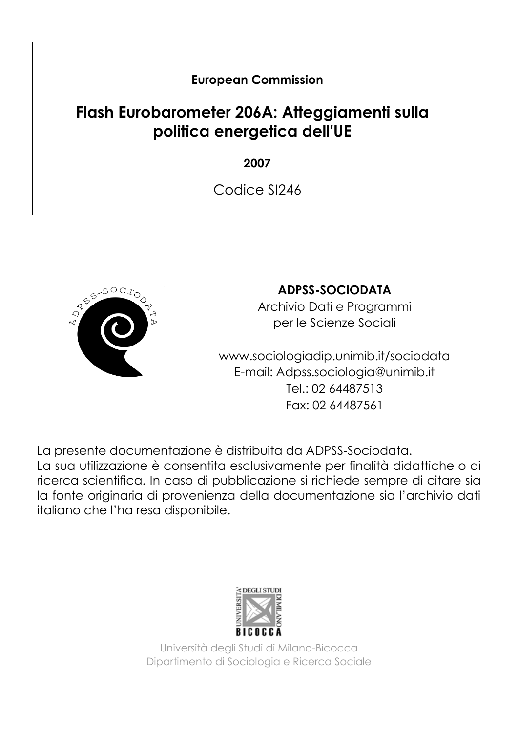### **European Commission**

## **Flash Eurobarometer 206A: Atteggiamenti sulla politica energetica dell'UE**

**2007**

Codice SI246



### **ADPSS-SOCIODATA**

Archivio Dati e Programmi per le Scienze Sociali

www.sociologiadip.unimib.it/sociodata E-mail: Adpss.sociologia@unimib.it Tel.: 02 64487513 Fax: 02 64487561

La presente documentazione è distribuita da ADPSS-Sociodata. La sua utilizzazione è consentita esclusivamente per finalità didattiche o di ricerca scientifica. In caso di pubblicazione si richiede sempre di citare sia la fonte originaria di provenienza della documentazione sia l'archivio dati italiano che l'ha resa disponibile.



Università degli Studi di Milano-Bicocca Dipartimento di Sociologia e Ricerca Sociale